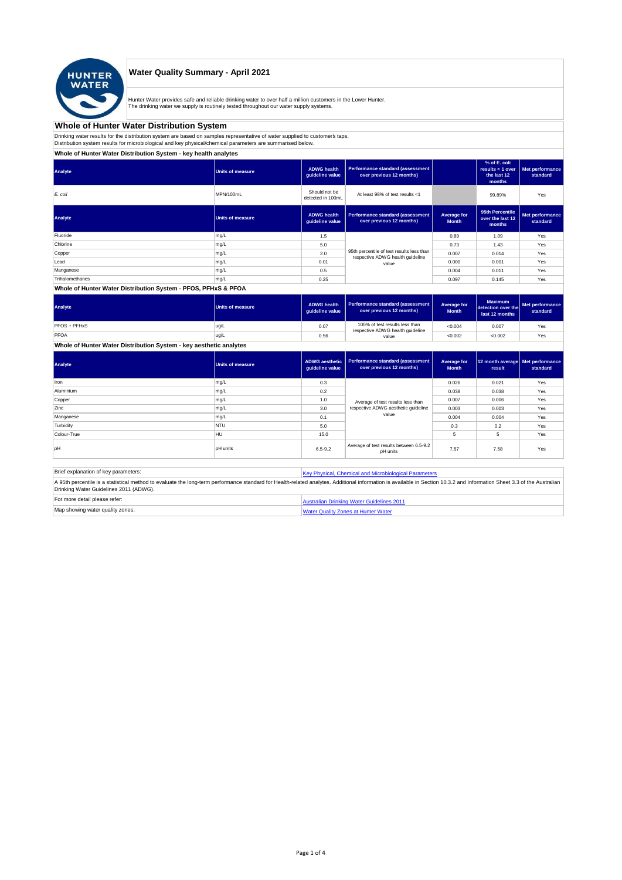

## **Water Quality Summary - April 2021**

Hunter Water provides safe and reliable drinking water to over half a million customers in the Lower Hunter.<br>The drinking water we supply is routinely tested throughout our water supply systems.

#### **Whole of Hunter Water Distribution System**

Drinking water results for the distribution system are based on samples representative of water supplied to customer' taps.<br>Distribution system results for microbiological and key physical/chemical parameters are summarise

#### **Whole of Hunter Water Distribution System - key health analytes**

| Analyte         | <b>Units of measure</b> | <b>ADWG</b> health<br>quideline value | Performance standard (assessment<br>over previous 12 months)                  |                             | % of E. coli<br>results $<$ 1 over<br>the last 12<br>months | Met performance<br>standard |
|-----------------|-------------------------|---------------------------------------|-------------------------------------------------------------------------------|-----------------------------|-------------------------------------------------------------|-----------------------------|
| E. coli         | MPN/100mL               | Should not be<br>detected in 100mL    | At least 98% of test results <1                                               |                             | 99.89%                                                      | Yes                         |
| Analyte         | <b>Units of measure</b> | <b>ADWG</b> health<br>guideline value | Performance standard (assessment<br>over previous 12 months)                  | Average for<br><b>Month</b> | 95th Percentile<br>over the last 12<br>months               | Met performance<br>standard |
| Fluoride        | mg/L                    | 1.5                                   |                                                                               | 0.89                        | 1.09                                                        | Yes                         |
| Chlorine        | mg/L                    | 5.0                                   |                                                                               | 0.73                        | 1.43                                                        | Yes                         |
| Copper          | mg/L                    | 2.0                                   | 95th percentile of test results less than<br>respective ADWG health guideline | 0.007                       | 0.014                                                       | Yes                         |
| Lead            | mg/L                    | 0.01                                  | value                                                                         | 0.000                       | 0.001                                                       | Yes                         |
| Manganese       | mg/L                    | 0.5                                   |                                                                               | 0.004                       | 0.011                                                       | Yes                         |
| Trihalomethanes | mg/L                    | 0.25                                  |                                                                               | 0.097                       | 0.145                                                       | Yes                         |

#### **Whole of Hunter Water Distribution System - PFOS, PFHxS & PFOA**

| Analyte      | <b>Units of measure</b> | <b>ADWG health</b><br>quideline value | Performance standard (assessment<br>over previous 12 months)       | Average for<br><b>Month</b> | <b>Maximum</b><br>detection over the<br>last 12 months | Met performance<br>standard |
|--------------|-------------------------|---------------------------------------|--------------------------------------------------------------------|-----------------------------|--------------------------------------------------------|-----------------------------|
| PFOS + PFHxS | ug/L                    | 0.07                                  | 100% of test results less than<br>respective ADWG health guideline | < 0.004                     | 0.007                                                  | Yes                         |
| PFOA         | ug/L                    | 0.56                                  | value                                                              | < 0.002                     | < 0.002                                                | Yes                         |

**Whole of Hunter Water Distribution System - key aesthetic analytes**

| Analyte     | Units of measure | ADWG aesthetic<br>guideline value | Performance standard (assessment<br>over previous 12 months) | Average for<br><b>Month</b> | 12 month average   Met performance<br>result | standard |
|-------------|------------------|-----------------------------------|--------------------------------------------------------------|-----------------------------|----------------------------------------------|----------|
| Iron        | mg/L             | 0.3                               |                                                              | 0.026                       | 0.021                                        | Yes      |
| Aluminium   | mg/L             | 0.2                               |                                                              | 0.038                       | 0.038                                        | Yes      |
| Copper      | mg/L             | 1.0                               | Average of test results less than                            | 0.007                       | 0.006                                        | Yes      |
| Zinc        | mg/L             | 3.0                               | respective ADWG aesthetic quideline                          | 0.003                       | 0.003                                        | Yes      |
| Manganese   | mg/L             | 0.1                               | value                                                        | 0.004                       | 0.004                                        | Yes      |
| Turbidity   | <b>NTU</b>       | 5.0                               |                                                              | 0.3                         | 0.2                                          | Yes      |
| Colour-True | <b>HU</b>        | 15.0                              |                                                              |                             | 5                                            | Yes      |
| pH          | <b>DH</b> units  | $6.5 - 9.2$                       | Average of test results between 6.5-9.2<br>pH units          | 7.57                        | 7.58                                         | Yes      |

Brief explanation of key parameters: [Key Physical, Che](http://www.hunterwater.com.au/Resources/Documents/Fact-Sheets/Water-Quality/Key-WQ-Parameters.pdf)mical and Microbiological Parameters A 95th percentile is a statistical method to evaluate the long-term performance standard for Health-related analytes. Additional information is available in Section 10.3.2 and Information Sheet 3.3 of the Australian<br>Drinki For more detail please refer: <br>[Australian Drinkin](http://www.nhmrc.gov.au/guidelines/publications/eh52)g Water Guidelines 2011

| Map showing water quality zones: | Water Quality Zones at Hunter Water |
|----------------------------------|-------------------------------------|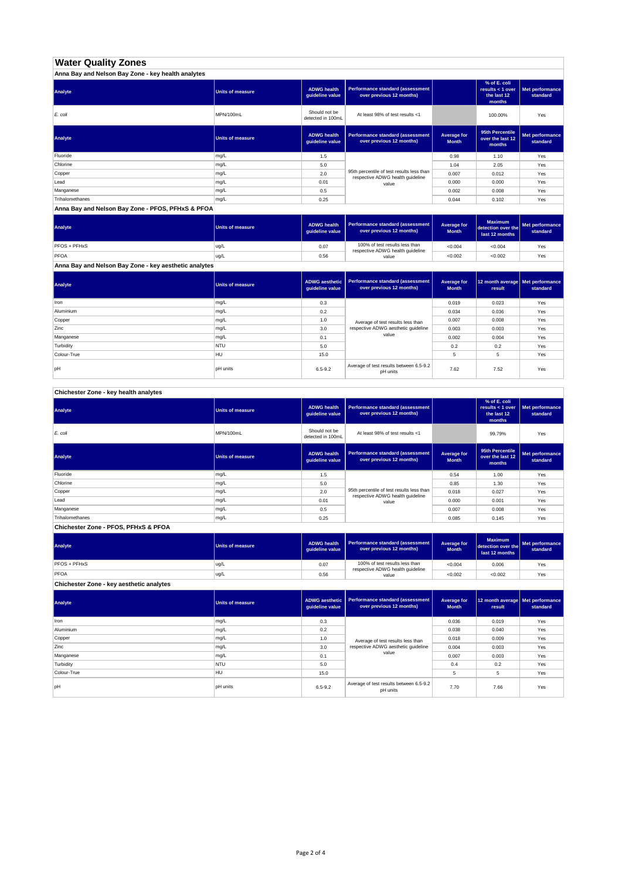# **Water Quality Zones**

| Anna Bay and Nelson Bay Zone - key health analytes |                  |                                       |                                                                               |                             |                                                           |                             |  |
|----------------------------------------------------|------------------|---------------------------------------|-------------------------------------------------------------------------------|-----------------------------|-----------------------------------------------------------|-----------------------------|--|
| Analyte                                            | Units of measure | <b>ADWG health</b><br>quideline value | Performance standard (assessment<br>over previous 12 months)                  |                             | % of E. coli<br>results < 1 over<br>the last 12<br>months | Met performance<br>standard |  |
| E. coli                                            | MPN/100mL        | Should not be<br>detected in 100mL    | At least 98% of test results <1                                               |                             | 100.00%                                                   | Yes                         |  |
| Analyte                                            | Units of measure | <b>ADWG health</b><br>quideline value | Performance standard (assessment<br>over previous 12 months)                  | Average for<br><b>Month</b> | 95th Percentile<br>over the last 12<br>months             | Met performance<br>standard |  |
| Fluoride                                           | mg/L             | 1.5                                   |                                                                               | 0.98                        | 1.10                                                      | Yes                         |  |
| Chlorine                                           | mg/L             | 5.0                                   |                                                                               | 1.04                        | 2.05                                                      | Yes                         |  |
| Copper                                             | mg/L             | 2.0                                   | 95th percentile of test results less than<br>respective ADWG health guideline | 0.007                       | 0.012                                                     | Yes                         |  |
| Lead                                               | mg/L             | 0.01                                  | value                                                                         | 0.000                       | 0.000                                                     | Yes                         |  |
| Manganese                                          | mg/L             | 0.5                                   |                                                                               | 0.002                       | 0.008                                                     | Yes                         |  |
| Trihalomethanes                                    | mg/L             | 0.25                                  |                                                                               | 0.044                       | 0.102                                                     | Yes                         |  |

#### **Anna Bay and Nelson Bay Zone - PFOS, PFHxS & PFOA**

| <b>Analyte</b>                                        | <b>Units of measure</b> | <b>ADWG health</b><br>quideline value | <b>Performance standard (assessment</b><br>over previous 12 months) | Average for<br><b>Month</b> | <b>Maximum</b><br>detection over the<br>last 12 months | Met performance<br>standard |
|-------------------------------------------------------|-------------------------|---------------------------------------|---------------------------------------------------------------------|-----------------------------|--------------------------------------------------------|-----------------------------|
| PFOS + PFHxS                                          | ug/L                    | 0.07                                  | 100% of test results less than<br>respective ADWG health guideline  | < 0.004                     | < 0.004                                                | Yes                         |
| PFOA                                                  | ug/L                    | 0.56                                  | value                                                               | < 0.002                     | < 0.002                                                | Yes                         |
| Anna Bay and Nelson Bay Zone - key aesthetic analytes |                         |                                       |                                                                     |                             |                                                        |                             |

| Analyte     | <b>Units of measure</b> | <b>ADWG aesthetic</b><br>guideline value | Performance standard (assessment<br>over previous 12 months) | Average for<br><b>Month</b> | 12 month average   Met performance<br>result | standard |
|-------------|-------------------------|------------------------------------------|--------------------------------------------------------------|-----------------------------|----------------------------------------------|----------|
| Iron        | mg/L                    | 0.3                                      |                                                              | 0.019                       | 0.023                                        | Yes      |
| Aluminium   | mg/L                    | 0.2                                      |                                                              | 0.034                       | 0.036                                        | Yes      |
| Copper      | mg/L                    | 1.0                                      | Average of test results less than                            | 0.007                       | 0.008                                        | Yes      |
| Zinc        | mg/L                    | 3.0                                      | respective ADWG aesthetic quideline                          | 0.003                       | 0.003                                        | Yes      |
| Manganese   | mg/L                    | 0.1                                      | value                                                        | 0.002                       | 0.004                                        | Yes      |
| Turbidity   | <b>NTU</b>              | 5.0                                      |                                                              | 0.2                         | 0.2                                          | Yes      |
| Colour-True | <b>HU</b>               | 15.0                                     |                                                              | 5                           | 5                                            | Yes      |
| pH          | pH units                | $6.5 - 9.2$                              | Average of test results between 6.5-9.2<br>pH units          | 7.62                        | 7.52                                         | Yes      |

## **Chichester Zone - key health analytes**

| Analyte         | <b>Units of measure</b> | <b>ADWG health</b><br>guideline value | Performance standard (assessment<br>over previous 12 months)                  |                             | % of E. coli<br>results < 1 over<br>the last 12<br>months | Met performance<br>standard |
|-----------------|-------------------------|---------------------------------------|-------------------------------------------------------------------------------|-----------------------------|-----------------------------------------------------------|-----------------------------|
| E. coli         | MPN/100mL               | Should not be<br>detected in 100mL    | At least 98% of test results <1                                               |                             | 99.79%                                                    | Yes                         |
| Analyte         | <b>Units of measure</b> | <b>ADWG health</b><br>guideline value | Performance standard (assessment<br>over previous 12 months)                  | Average for<br><b>Month</b> | 95th Percentile<br>over the last 12<br>months             | Met performance<br>standard |
| Fluoride        | mg/L                    | 1.5                                   |                                                                               | 0.54                        | 1.00                                                      | Yes                         |
| Chlorine        | mg/L                    | 5.0                                   |                                                                               | 0.85                        | 1.30                                                      | Yes                         |
| Copper          | mg/L                    | 2.0                                   | 95th percentile of test results less than<br>respective ADWG health guideline | 0.018                       | 0.027                                                     | Yes                         |
| Lead            | mg/L                    | 0.01                                  | value                                                                         | 0.000                       | 0.001                                                     | Yes                         |
| Manganese       | mg/L                    | 0.5                                   |                                                                               | 0.007                       | 0.008                                                     | Yes                         |
| Trihalomethanes | mg/L                    | 0.25                                  |                                                                               | 0.085                       | 0.145                                                     | Yes                         |

**Chichester Zone - PFOS, PFHxS & PFOA**

| Analyte             | Units of measure | <b>ADWG health</b><br>auideline value | Performance standard (assessment<br>over previous 12 months)       | Average for<br><b>Month</b> | <b>Maximum</b><br>detection over the<br>last 12 months | <b>Met performance</b><br>standard |
|---------------------|------------------|---------------------------------------|--------------------------------------------------------------------|-----------------------------|--------------------------------------------------------|------------------------------------|
| <b>PFOS + PFHxS</b> | ug/L             | 0.07                                  | 100% of test results less than<br>respective ADWG health guideline | < 0.004                     | 0.006                                                  | Yes                                |
| PFOA                | ug/L             | 0.56                                  | value                                                              | < 0.002                     | < 0.002                                                | Yes                                |

**Chichester Zone - key aesthetic analytes**

| Analyte     | Units of measure | ADWG aesthetic<br>quideline value | Performance standard (assessment<br>over previous 12 months) | Average for<br><b>Month</b> | 12 month average   Met performance<br>result | standard |
|-------------|------------------|-----------------------------------|--------------------------------------------------------------|-----------------------------|----------------------------------------------|----------|
| Iron        | mg/L             | 0.3                               |                                                              | 0.036                       | 0.019                                        | Yes      |
| Aluminium   | mg/L             | 0.2                               |                                                              | 0.038                       | 0.040                                        | Yes      |
| Copper      | mg/L             | 1.0                               | Average of test results less than                            | 0.018                       | 0.009                                        | Yes      |
| Zinc        | mg/L             | 3.0                               | respective ADWG aesthetic quideline                          | 0.004                       | 0.003                                        | Yes      |
| Manganese   | mg/L             | 0.1                               | value                                                        | 0.007                       | 0.003                                        | Yes      |
| Turbidity   | <b>NTU</b>       | 5.0                               |                                                              | 0.4                         | 0.2                                          | Yes      |
| Colour-True | HU               | 15.0                              |                                                              | 5                           | 5                                            | Yes      |
| loH         | <b>pH</b> units  | $6.5 - 9.2$                       | Average of test results between 6.5-9.2<br>pH units          | 7.70                        | 7.66                                         | Yes      |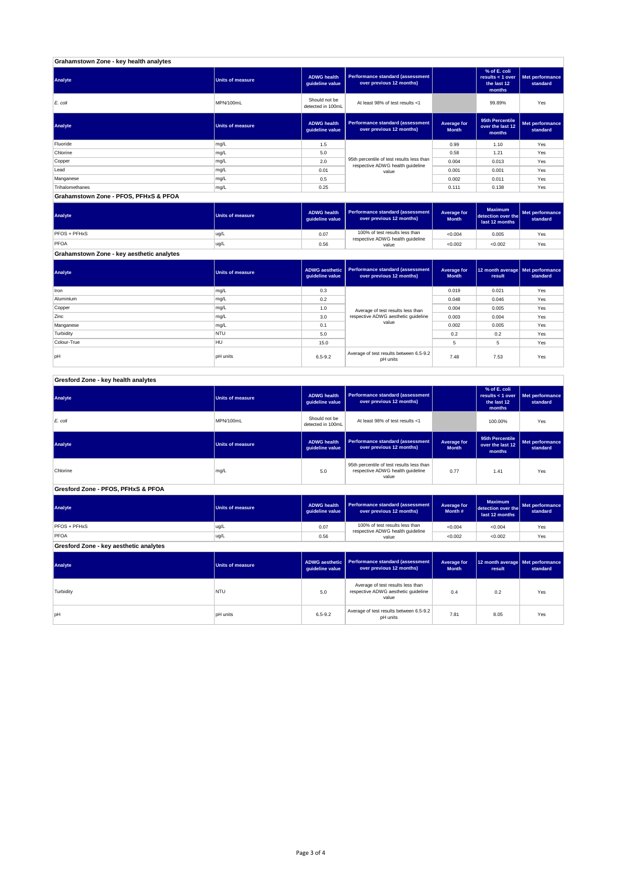### **Grahamstown Zone - key health analytes**

| Analyte                               | Units of measure | <b>ADWG health</b><br>guideline value | Performance standard (assessment<br>over previous 12 months)                  |                             | % of E. coli<br>results < 1 over<br>the last 12<br>months | Met performance<br>standard |  |
|---------------------------------------|------------------|---------------------------------------|-------------------------------------------------------------------------------|-----------------------------|-----------------------------------------------------------|-----------------------------|--|
| E. coli                               | MPN/100mL        | Should not be<br>detected in 100mL    | At least 98% of test results <1                                               |                             | 99.89%                                                    | Yes                         |  |
| Analyte                               | Units of measure | <b>ADWG health</b><br>guideline value | <b>Performance standard (assessment</b><br>over previous 12 months)           | Average for<br><b>Month</b> | 95th Percentile<br>over the last 12<br>months             | Met performance<br>standard |  |
| Fluoride                              | mg/L             | 1.5                                   |                                                                               | 0.99                        | 1.10                                                      | Yes                         |  |
| Chlorine                              | mg/L             | 5.0                                   |                                                                               | 0.58                        | 1.21                                                      | Yes                         |  |
| Copper                                | mg/L             | 2.0                                   | 95th percentile of test results less than<br>respective ADWG health guideline | 0.004                       | 0.013                                                     | Yes                         |  |
| Lead                                  | mg/L             | 0.01                                  | value                                                                         | 0.001                       | 0.001                                                     | Yes                         |  |
| Manganese                             | mg/L             | 0.5                                   |                                                                               | 0.002                       | 0.011                                                     | Yes                         |  |
| Trihalomethanes                       | mg/L             | 0.25                                  |                                                                               | 0.111                       | 0.138                                                     | Yes                         |  |
| Grahamstown Zone - PFOS, PFHxS & PFOA |                  |                                       |                                                                               |                             |                                                           |                             |  |

| Analyte                                   | <b>Units of measure</b> | <b>ADWG health</b><br>auideline value | Performance standard (assessment<br>over previous 12 months) | Average for<br><b>Month</b> | <b>Maximum</b><br>detection over the<br>last 12 months | Met performance<br>standard |
|-------------------------------------------|-------------------------|---------------------------------------|--------------------------------------------------------------|-----------------------------|--------------------------------------------------------|-----------------------------|
| PFOS + PFHxS                              | ug/L                    | 0.07                                  | 100% of test results less than                               | < 0.004                     | 0.005                                                  | Yes                         |
| PFOA                                      | ug/L                    | 0.56                                  | respective ADWG health guideline<br>value                    | < 0.002                     | < 0.002                                                | Yes                         |
| Grahamstown Zone - key aesthetic analytes |                         |                                       |                                                              |                             |                                                        |                             |

| Analyte     | Units of measure | ADWG aesthetic<br>guideline value | Performance standard (assessment<br>over previous 12 months) | Average for<br><b>Month</b> | 12 month average   Met performance<br>result | standard |
|-------------|------------------|-----------------------------------|--------------------------------------------------------------|-----------------------------|----------------------------------------------|----------|
| Iron        | mg/L             | 0.3                               |                                                              | 0.019                       | 0.021                                        | Yes      |
| Aluminium   | mg/L             | 0.2                               |                                                              | 0.048                       | 0.046                                        | Yes      |
| Copper      | mg/L             | 1.0                               | Average of test results less than                            | 0.004                       | 0.005                                        | Yes      |
| Zinc        | mg/L             | 3.0                               | respective ADWG aesthetic quideline                          | 0.003                       | 0.004                                        | Yes      |
| Manganese   | mg/L             | 0.1                               | value                                                        | 0.002                       | 0.005                                        | Yes      |
| Turbidity   | <b>NTU</b>       | 5.0                               |                                                              | 0.2                         | 0.2                                          | Yes      |
| Colour-True | HU               | 15.0                              |                                                              | 5                           | 5                                            | Yes      |
| loH         | <b>pH</b> units  | $6.5 - 9.2$                       | Average of test results between 6.5-9.2<br>pH units          | 7.48                        | 7.53                                         | Yes      |

## **Gresford Zone - key health analytes**

| Analyte                                | <b>Units of measure</b> | <b>ADWG health</b><br>guideline value    | <b>Performance standard (assessment</b><br>over previous 12 months)                    |                             | % of E. coli<br>results < 1 over<br>the last 12<br>months | Met performance<br>standard        |
|----------------------------------------|-------------------------|------------------------------------------|----------------------------------------------------------------------------------------|-----------------------------|-----------------------------------------------------------|------------------------------------|
| E. coli                                | MPN/100mL               | Should not be<br>detected in 100mL       | At least 98% of test results <1                                                        |                             | 100.00%                                                   | Yes                                |
| Analyte                                | <b>Units of measure</b> | <b>ADWG health</b><br>guideline value    | <b>Performance standard (assessment</b><br>over previous 12 months)                    | Average for<br><b>Month</b> | 95th Percentile<br>over the last 12<br>months             | <b>Met performance</b><br>standard |
| Chlorine                               | mg/L                    | 5.0                                      | 95th percentile of test results less than<br>respective ADWG health guideline<br>value | 0.77                        | 1.41                                                      | Yes                                |
| Gresford Zone - PFOS, PFHxS & PFOA     |                         |                                          |                                                                                        |                             |                                                           |                                    |
| <b>Analyte</b>                         | <b>Units of measure</b> | <b>ADWG health</b><br>guideline value    | <b>Performance standard (assessment</b><br>over previous 12 months)                    | Average for<br>Month#       | <b>Maximum</b><br>detection over the<br>last 12 months    | Met performance<br>standard        |
| PFOS + PFHxS                           | ug/L                    | 0.07                                     | 100% of test results less than<br>respective ADWG health guideline                     | < 0.004                     | < 0.004                                                   | Yes                                |
| PFOA                                   | ug/L                    | 0.56                                     | value                                                                                  | < 0.002                     | < 0.002                                                   | Yes                                |
| Gresford Zone - key aesthetic analytes |                         |                                          |                                                                                        |                             |                                                           |                                    |
| Analyte                                | <b>Units of measure</b> | <b>ADWG aesthetic</b><br>guideline value | <b>Performance standard (assessment</b><br>over previous 12 months)                    | Average for<br><b>Month</b> | 12 month average<br>result                                | Met performance<br>standard        |
| Turbidity                              | NTU                     | 5.0                                      | Average of test results less than<br>respective ADWG aesthetic guideline<br>value      | 0.4                         | 0.2                                                       | Yes                                |
| pН                                     | <b>pH</b> units         | $6.5 - 9.2$                              | Average of test results between 6.5-9.2<br>pH units                                    | 7.81                        | 8.05                                                      | Yes                                |